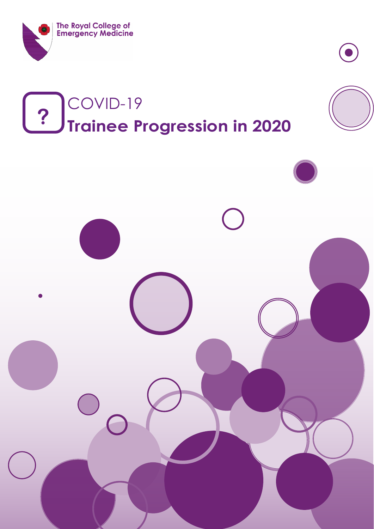

# COVID-19 **? Trainee Progression in 2020**

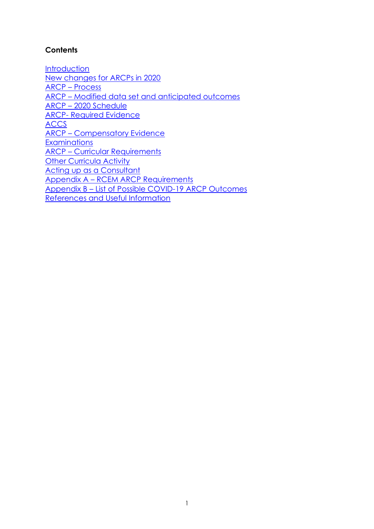## **Contents**

**[Introduction](#page-2-0)** [New changes for ARCPs in 2020](#page-2-1) ARCP – [Process](#page-3-0) ARCP – [Modified data set and anticipated outcomes](#page-5-0) ARCP – [2020 Schedule](#page-6-0) ARCP- [Required Evidence](#page-6-1) [ACCS](#page-8-0) ARCP – [Compensatory Evidence](#page-8-1) **[Examinations](#page-9-0)** ARCP – [Curricular Requirements](#page-10-0) **[Other Curricula Activity](#page-13-0)** [Acting up as a Consultant](#page-14-0) Appendix A – [RCEM ARCP Requirements](#page-15-0) Appendix B – [List of Possible COVID-19 ARCP Outcomes](#page-24-0) [References and Useful Information](#page-26-0)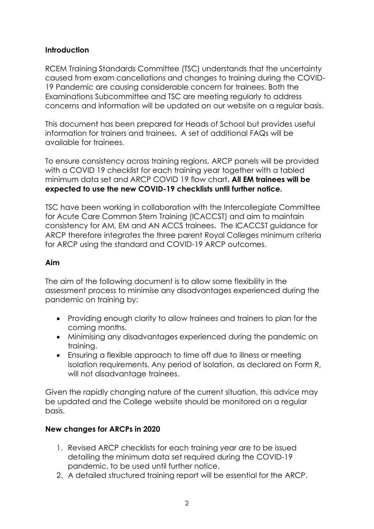#### <span id="page-2-0"></span>**Introduction**

RCEM Training Standards Committee (TSC) understands that the uncertainty caused from exam cancellations and changes to training during the COVID-19 Pandemic are causing considerable concern for trainees. Both the Examinations Subcommittee and TSC are meeting regularly to address concerns and information will be updated on our website on a regular basis.

This document has been prepared for Heads of School but provides useful information for trainers and trainees. A set of additional FAQs will be available for trainees.

To ensure consistency across training regions, ARCP panels will be provided with a COVID 19 checklist for each training year together with a tabled minimum data set and ARCP COVID 19 flow chart**. All EM trainees will be expected to use the new COVID-19 checklists until further notice.**

TSC have been working in collaboration with the Intercollegiate Committee for Acute Care Common Stem Training (ICACCST) and aim to maintain consistency for AM, EM and AN ACCS trainees. The ICACCST guidance for ARCP therefore integrates the three parent Royal Colleges minimum criteria for ARCP using the standard and COVID-19 ARCP outcomes.

#### **Aim**

The aim of the following document is to allow some flexibility in the assessment process to minimise any disadvantages experienced during the pandemic on training by:

- Providing enough clarity to allow trainees and trainers to plan for the coming months.
- Minimising any disadvantages experienced during the pandemic on training.
- Ensuring a flexible approach to time off due to illness or meeting isolation requirements. Any period of isolation, as declared on Form R, will not disadvantage trainees.

Given the rapidly changing nature of the current situation, this advice may be updated and the College website should be monitored on a regular basis.

## <span id="page-2-1"></span>**New changes for ARCPs in 2020**

- 1. Revised ARCP checklists for each training year are to be issued detailing the minimum data set required during the COVID-19 pandemic, to be used until further notice.
- 2. A detailed structured training report will be essential for the ARCP.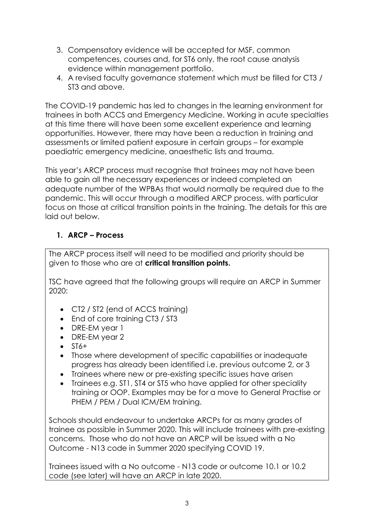- 3. Compensatory evidence will be accepted for MSF, common competences, courses and, for ST6 only, the root cause analysis evidence within management portfolio.
- 4. A revised faculty governance statement which must be filled for CT3 / ST3 and above.

The COVID-19 pandemic has led to changes in the learning environment for trainees in both ACCS and Emergency Medicine. Working in acute specialties at this time there will have been some excellent experience and learning opportunities. However, there may have been a reduction in training and assessments or limited patient exposure in certain groups – for example paediatric emergency medicine, anaesthetic lists and trauma.

This year's ARCP process must recognise that trainees may not have been able to gain all the necessary experiences or indeed completed an adequate number of the WPBAs that would normally be required due to the pandemic. This will occur through a modified ARCP process, with particular focus on those at critical transition points in the training. The details for this are laid out below.

## <span id="page-3-0"></span>**1. ARCP – Process**

The ARCP process itself will need to be modified and priority should be given to those who are at **critical transition points.**

TSC have agreed that the following groups will require an ARCP in Summer 2020:

- CT2 / ST2 (end of ACCS training)
- End of core training CT3 / ST3
- DRE-EM year 1
- DRE-EM year 2
- $\bullet$  ST6+
- Those where development of specific capabilities or inadequate progress has already been identified i.e. previous outcome 2, or 3
- Trainees where new or pre-existing specific issues have arisen
- Trainees e.g. ST1, ST4 or ST5 who have applied for other speciality training or OOP. Examples may be for a move to General Practise or PHEM / PEM / Dual ICM/EM training.

Schools should endeavour to undertake ARCPs for as many grades of trainee as possible in Summer 2020. This will include trainees with pre-existing concerns. Those who do not have an ARCP will be issued with a No Outcome - N13 code in Summer 2020 specifying COVID 19.

Trainees issued with a No outcome - N13 code or outcome 10.1 or 10.2 code (see later) will have an ARCP in late 2020.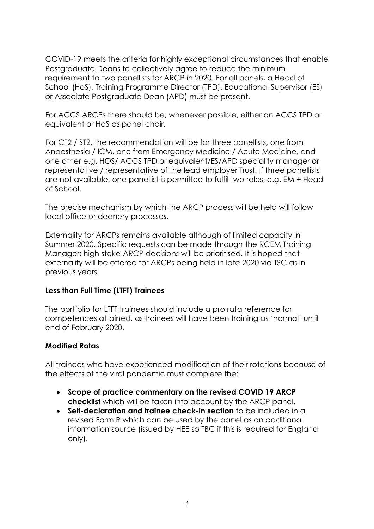COVID-19 meets the criteria for highly exceptional circumstances that enable Postaraduate Deans to collectively agree to reduce the minimum requirement to two panellists for ARCP in 2020. For all panels, a Head of School (HoS), Training Programme Director (TPD), Educational Supervisor (ES) or Associate Postgraduate Dean (APD) must be present.

For ACCS ARCPs there should be, whenever possible, either an ACCS TPD or equivalent or HoS as panel chair.

For CT2 / ST2, the recommendation will be for three panellists, one from Anaesthesia / ICM, one from Emergency Medicine / Acute Medicine, and one other e.g. HOS/ ACCS TPD or equivalent/ES/APD speciality manager or representative / representative of the lead employer Trust. If three panellists are not available, one panellist is permitted to fulfil two roles, e.g. EM + Head of School.

The precise mechanism by which the ARCP process will be held will follow local office or deanery processes.

Externality for ARCPs remains available although of limited capacity in Summer 2020. Specific requests can be made through the RCEM Training Manager; high stake ARCP decisions will be prioritised. It is hoped that externality will be offered for ARCPs being held in late 2020 via TSC as in previous years.

#### **Less than Full Time (LTFT) Trainees**

The portfolio for LTFT trainees should include a pro rata reference for competences attained, as trainees will have been training as 'normal' until end of February 2020.

#### **Modified Rotas**

All trainees who have experienced modification of their rotations because of the effects of the viral pandemic must complete the:

- **Scope of practice commentary on the revised COVID 19 ARCP checklist** which will be taken into account by the ARCP panel.
- **Self-declaration and trainee check-in section** to be included in a revised Form R which can be used by the panel as an additional information source (issued by HEE so TBC if this is required for England only).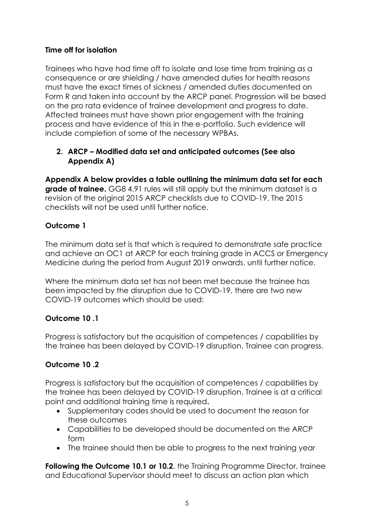## **Time off for isolation**

Trainees who have had time off to isolate and lose time from training as a consequence or are shielding / have amended duties for health reasons must have the exact times of sickness / amended duties documented on Form R and taken into account by the ARCP panel. Progression will be based on the pro rata evidence of trainee development and progress to date. Affected trainees must have shown prior engagement with the training process and have evidence of this in the e-portfolio. Such evidence will include completion of some of the necessary WPBAs.

## <span id="page-5-0"></span>**2. ARCP – Modified data set and anticipated outcomes (See also Appendix A)**

**Appendix A below provides a table outlining the minimum data set for each grade of trainee.** GG8 4.91 rules will still apply but the minimum dataset is a revision of the original 2015 ARCP checklists due to COVID-19. The 2015 checklists will not be used until further notice.

## **Outcome 1**

The minimum data set is that which is required to demonstrate safe practice and achieve an OC1 at ARCP for each training grade in ACCS or Emergency Medicine during the period from August 2019 onwards, until further notice.

Where the minimum data set has not been met because the trainee has been impacted by the disruption due to COVID-19, there are two new COVID-19 outcomes which should be used:

## **Outcome 10 .1**

Progress is satisfactory but the acquisition of competences / capabilities by the trainee has been delayed by COVID-19 disruption. Trainee can progress.

## **Outcome 10 .2**

Progress is satisfactory but the acquisition of competences / capabilities by the trainee has been delayed by COVID-19 disruption. Trainee is at a critical point and additional training time is required**.** 

- Supplementary codes should be used to document the reason for these outcomes
- Capabilities to be developed should be documented on the ARCP form
- The trainee should then be able to progress to the next training year

**Following the Outcome 10.1 or 10.2**, the Training Programme Director, trainee and Educational Supervisor should meet to discuss an action plan which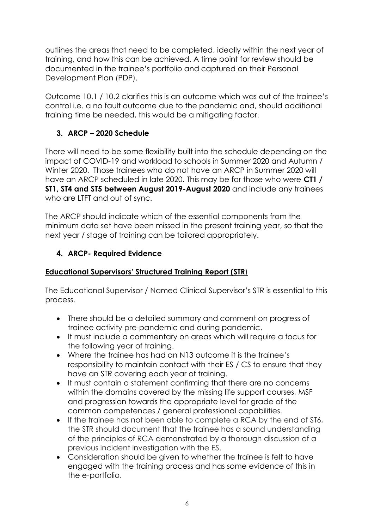outlines the areas that need to be completed, ideally within the next year of training, and how this can be achieved. A time point for review should be documented in the trainee's portfolio and captured on their Personal Development Plan (PDP).

Outcome 10.1 / 10.2 clarifies this is an outcome which was out of the trainee's control i.e. a no fault outcome due to the pandemic and, should additional training time be needed, this would be a mitigating factor.

## <span id="page-6-0"></span>**3. ARCP – 2020 Schedule**

There will need to be some flexibility built into the schedule depending on the impact of COVID-19 and workload to schools in Summer 2020 and Autumn / Winter 2020. Those trainees who do not have an ARCP in Summer 2020 will have an ARCP scheduled in late 2020. This may be for those who were **CT1 / ST1, ST4 and ST5 between August 2019-August 2020** and include any trainees who are LTFT and out of sync.

The ARCP should indicate which of the essential components from the minimum data set have been missed in the present training year, so that the next year / stage of training can be tailored appropriately.

## <span id="page-6-1"></span>**4. ARCP- Required Evidence**

## **Educational Supervisors' Structured Training Report (STR**)

The Educational Supervisor / Named Clinical Supervisor's STR is essential to this process.

- There should be a detailed summary and comment on progress of trainee activity pre-pandemic and during pandemic.
- It must include a commentary on areas which will require a focus for the following year of training.
- Where the trainee has had an N13 outcome it is the trainee's responsibility to maintain contact with their ES / CS to ensure that they have an STR covering each year of training.
- It must contain a statement confirming that there are no concerns within the domains covered by the missing life support courses, MSF and progression towards the appropriate level for grade of the common competences / general professional capabilities.
- If the trainee has not been able to complete a RCA by the end of ST6, the STR should document that the trainee has a sound understanding of the principles of RCA demonstrated by a thorough discussion of a previous incident investigation with the ES.
- Consideration should be given to whether the trainee is felt to have engaged with the training process and has some evidence of this in the e-portfolio.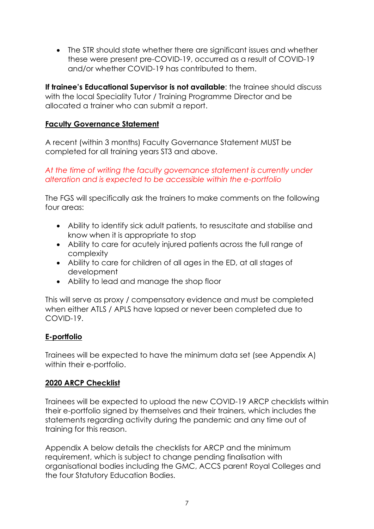• The STR should state whether there are significant issues and whether these were present pre-COVID-19, occurred as a result of COVID-19 and/or whether COVID-19 has contributed to them.

**If trainee's Educational Supervisor is not available**: the trainee should discuss with the local Speciality Tutor / Training Programme Director and be allocated a trainer who can submit a report.

#### **Faculty Governance Statement**

A recent (within 3 months) Faculty Governance Statement MUST be completed for all training years ST3 and above.

#### *At the time of writing the faculty governance statement is currently under alteration and is expected to be accessible within the e-portfolio*

The FGS will specifically ask the trainers to make comments on the following four areas:

- Ability to identify sick adult patients, to resuscitate and stabilise and know when it is appropriate to stop
- Ability to care for acutely injured patients across the full range of complexity
- Ability to care for children of all ages in the ED, at all stages of development
- Ability to lead and manage the shop floor

This will serve as proxy / compensatory evidence and must be completed when either ATLS / APLS have lapsed or never been completed due to COVID-19.

#### **E-portfolio**

Trainees will be expected to have the minimum data set (see Appendix A) within their e-portfolio.

#### **2020 ARCP Checklist**

Trainees will be expected to upload the new COVID-19 ARCP checklists within their e-portfolio signed by themselves and their trainers, which includes the statements regarding activity during the pandemic and any time out of training for this reason.

Appendix A below details the checklists for ARCP and the minimum requirement, which is subject to change pending finalisation with organisational bodies including the GMC, ACCS parent Royal Colleges and the four Statutory Education Bodies.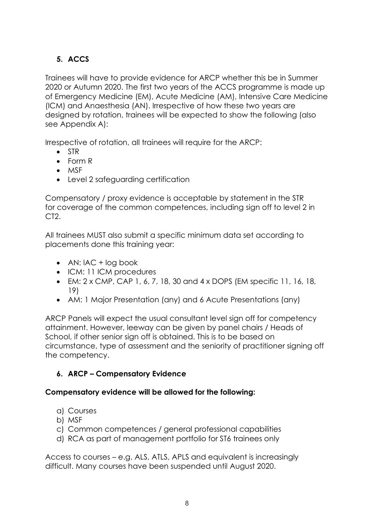## <span id="page-8-0"></span>**5. ACCS**

Trainees will have to provide evidence for ARCP whether this be in Summer 2020 or Autumn 2020. The first two years of the ACCS programme is made up of Emergency Medicine (EM), Acute Medicine (AM), Intensive Care Medicine (ICM) and Anaesthesia (AN). Irrespective of how these two years are designed by rotation, trainees will be expected to show the following (also see Appendix A):

Irrespective of rotation, all trainees will require for the ARCP:

- STR
- Form R
- MSF
- Level 2 safeguarding certification

Compensatory / proxy evidence is acceptable by statement in the STR for coverage of the common competences, including sign off to level 2 in CT2.

All trainees MUST also submit a specific minimum data set according to placements done this training year:

- AN:  $IAC + log book$
- ICM: 11 ICM procedures
- EM:  $2 \times \text{CMP}$ , CAP 1, 6, 7, 18, 30 and  $4 \times \text{DOPS}$  (EM specific 11, 16, 18, 19)
- AM: 1 Major Presentation (any) and 6 Acute Presentations (any)

ARCP Panels will expect the usual consultant level sign off for competency attainment. However, leeway can be given by panel chairs / Heads of School, if other senior sign off is obtained. This is to be based on circumstance, type of assessment and the seniority of practitioner signing off the competency.

## <span id="page-8-1"></span>**6. ARCP – Compensatory Evidence**

## **Compensatory evidence will be allowed for the following:**

- a) Courses
- b) MSF
- c) Common competences / general professional capabilities
- d) RCA as part of management portfolio for ST6 trainees only

Access to courses – e.g. ALS, ATLS, APLS and equivalent is increasingly difficult. Many courses have been suspended until August 2020.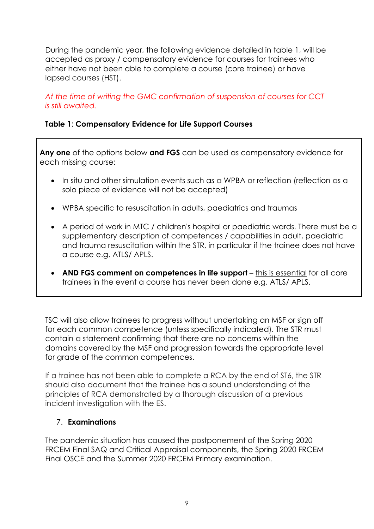During the pandemic year, the following evidence detailed in table 1, will be accepted as proxy / compensatory evidence for courses for trainees who either have not been able to complete a course (core trainee) or have lapsed courses (HST).

*At the time of writing the GMC confirmation of suspension of courses for CCT is still awaited.*

#### **Table 1**: **Compensatory Evidence for Life Support Courses**

**Any one** of the options below **and FGS** can be used as compensatory evidence for each missing course:

- In situ and other simulation events such as a WPBA or reflection (reflection as a solo piece of evidence will not be accepted)
- WPBA specific to resuscitation in adults, paediatrics and traumas
- A period of work in MTC / children's hospital or paediatric wards. There must be a supplementary description of competences / capabilities in adult, paediatric and trauma resuscitation within the STR, in particular if the trainee does not have a course e.g. ATLS/ APLS.
- **AND FGS comment on competences in life support** this is essential for all core trainees in the event a course has never been done e.g. ATLS/ APLS.

TSC will also allow trainees to progress without undertaking an MSF or sign off for each common competence (unless specifically indicated). The STR must contain a statement confirming that there are no concerns within the domains covered by the MSF and progression towards the appropriate level for grade of the common competences.

If a trainee has not been able to complete a RCA by the end of ST6, the STR should also document that the trainee has a sound understanding of the principles of RCA demonstrated by a thorough discussion of a previous incident investigation with the ES.

#### <span id="page-9-0"></span>7. **Examinations**

The pandemic situation has caused the postponement of the Spring 2020 FRCEM Final SAQ and Critical Appraisal components, the Spring 2020 FRCEM Final OSCE and the Summer 2020 FRCEM Primary examination.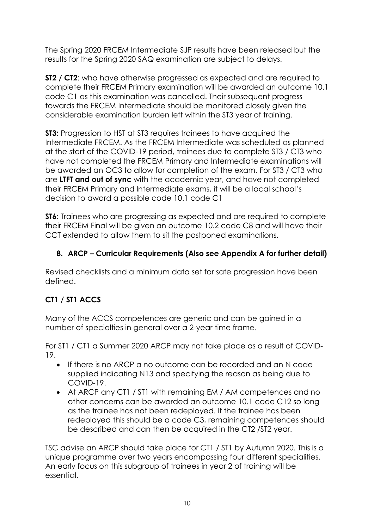The Spring 2020 FRCEM Intermediate SJP results have been released but the results for the Spring 2020 SAQ examination are subject to delays.

**ST2 / CT2**: who have otherwise progressed as expected and are required to complete their FRCEM Primary examination will be awarded an outcome 10.1 code C1 as this examination was cancelled. Their subsequent progress towards the FRCEM Intermediate should be monitored closely given the considerable examination burden left within the ST3 year of training.

**ST3:** Progression to HST at ST3 requires trainees to have acquired the Intermediate FRCEM. As the FRCEM Intermediate was scheduled as planned at the start of the COVID-19 period, trainees due to complete ST3 / CT3 who have not completed the FRCEM Primary and Intermediate examinations will be awarded an OC3 to allow for completion of the exam. For ST3 / CT3 who are **LTFT and out of sync** with the academic year, and have not completed their FRCEM Primary and Intermediate exams, it will be a local school's decision to award a possible code 10.1 code C1

**ST6**: Trainees who are progressing as expected and are required to complete their FRCEM Final will be given an outcome 10.2 code C8 and will have their CCT extended to allow them to sit the postponed examinations.

## <span id="page-10-0"></span>**8. ARCP – Curricular Requirements (Also see Appendix A for further detail)**

Revised checklists and a minimum data set for safe progression have been defined.

## **CT1 / ST1 ACCS**

Many of the ACCS competences are generic and can be gained in a number of specialties in general over a 2-year time frame.

For ST1 / CT1 a Summer 2020 ARCP may not take place as a result of COVID-19.

- If there is no ARCP a no outcome can be recorded and an N code supplied indicating N13 and specifying the reason as being due to COVID-19.
- At ARCP any CT1 / ST1 with remaining EM / AM competences and no other concerns can be awarded an outcome 10.1 code C12 so long as the trainee has not been redeployed. If the trainee has been redeployed this should be a code C3, remaining competences should be described and can then be acquired in the CT2 /ST2 year.

TSC advise an ARCP should take place for CT1 / ST1 by Autumn 2020. This is a unique programme over two years encompassing four different specialities. An early focus on this subgroup of trainees in year 2 of training will be essential.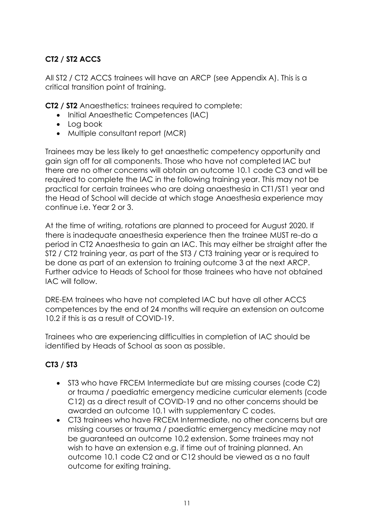## **CT2 / ST2 ACCS**

All ST2 / CT2 ACCS trainees will have an ARCP (see Appendix A). This is a critical transition point of training.

**CT2 / ST2** Anaesthetics: trainees required to complete:

- Initial Anaesthetic Competences (IAC)
- Log book
- Multiple consultant report (MCR)

Trainees may be less likely to get anaesthetic competency opportunity and gain sign off for all components. Those who have not completed IAC but there are no other concerns will obtain an outcome 10.1 code C3 and will be required to complete the IAC in the following training year. This may not be practical for certain trainees who are doing anaesthesia in CT1/ST1 year and the Head of School will decide at which stage Anaesthesia experience may continue i.e. Year 2 or 3.

At the time of writing, rotations are planned to proceed for August 2020. If there is inadequate anaesthesia experience then the trainee MUST re-do a period in CT2 Anaesthesia to gain an IAC. This may either be straight after the ST2 / CT2 training year, as part of the ST3 / CT3 training year or is required to be done as part of an extension to training outcome 3 at the next ARCP. Further advice to Heads of School for those trainees who have not obtained IAC will follow.

DRE-EM trainees who have not completed IAC but have all other ACCS competences by the end of 24 months will require an extension on outcome 10.2 if this is as a result of COVID-19.

Trainees who are experiencing difficulties in completion of IAC should be identified by Heads of School as soon as possible.

## **CT3 / ST3**

- ST3 who have FRCEM Intermediate but are missing courses (code C2) or trauma / paediatric emergency medicine curricular elements (code C12) as a direct result of COVID-19 and no other concerns should be awarded an outcome 10.1 with supplementary C codes.
- CT3 trainees who have FRCEM Intermediate, no other concerns but are missing courses or trauma / paediatric emergency medicine may not be guaranteed an outcome 10.2 extension. Some trainees may not wish to have an extension e.g. if time out of training planned. An outcome 10.1 code C2 and or C12 should be viewed as a no fault outcome for exiting training.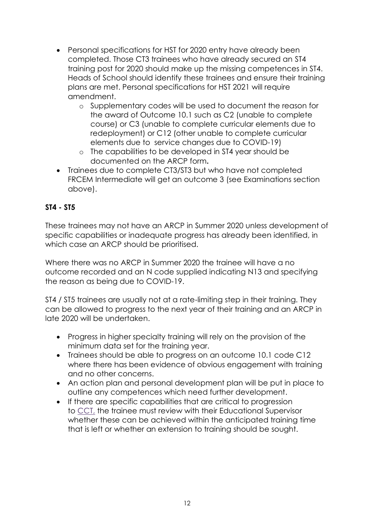- Personal specifications for HST for 2020 entry have already been completed. Those CT3 trainees who have already secured an ST4 training post for 2020 should make up the missing competences in ST4. Heads of School should identify these trainees and ensure their training plans are met. Personal specifications for HST 2021 will require amendment.
	- o Supplementary codes will be used to document the reason for the award of Outcome 10.1 such as C2 (unable to complete course) or C3 (unable to complete curricular elements due to redeployment) or C12 (other unable to complete curricular elements due to service changes due to COVID-19)
	- o The capabilities to be developed in ST4 year should be documented on the ARCP form**.**
- Trainees due to complete CT3/ST3 but who have not completed FRCEM Intermediate will get an outcome 3 (see Examinations section above).

## **ST4 - ST5**

These trainees may not have an ARCP in Summer 2020 unless development of specific capabilities or inadequate progress has already been identified, in which case an ARCP should be prioritised.

Where there was no ARCP in Summer 2020 the trainee will have a no outcome recorded and an N code supplied indicating N13 and specifying the reason as being due to COVID-19.

ST4 / ST5 trainees are usually not at a rate-limiting step in their training. They can be allowed to progress to the next year of their training and an ARCP in late 2020 will be undertaken.

- Progress in higher specialty training will rely on the provision of the minimum data set for the training year.
- Trainees should be able to progress on an outcome 10.1 code C12 where there has been evidence of obvious engagement with training and no other concerns.
- An action plan and personal development plan will be put in place to outline any competences which need further development.
- If there are specific capabilities that are critical to progression to [CCT,](https://www.jrcptb.org.uk/glossary/9#CCT) the trainee must review with their Educational Supervisor whether these can be achieved within the anticipated training time that is left or whether an extension to training should be sought.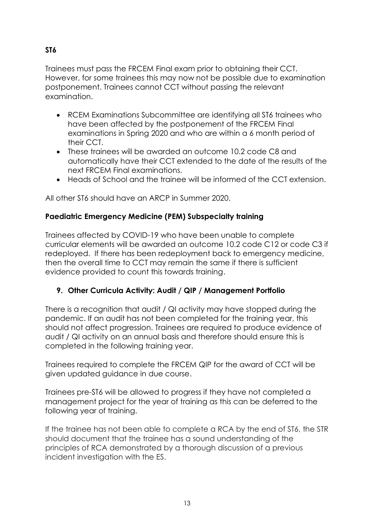## **ST6**

Trainees must pass the FRCEM Final exam prior to obtaining their CCT. However, for some trainees this may now not be possible due to examination postponement. Trainees cannot CCT without passing the relevant examination.

- RCEM Examinations Subcommittee are identifying all ST6 trainees who have been affected by the postponement of the FRCEM Final examinations in Spring 2020 and who are within a 6 month period of their CCT.
- These trainees will be awarded an outcome 10.2 code C8 and automatically have their CCT extended to the date of the results of the next FRCEM Final examinations.
- Heads of School and the trainee will be informed of the CCT extension.

All other ST6 should have an ARCP in Summer 2020.

## **Paediatric Emergency Medicine (PEM) Subspecialty training**

Trainees affected by COVID-19 who have been unable to complete curricular elements will be awarded an outcome 10.2 code C12 or code C3 if redeployed. If there has been redeployment back to emergency medicine, then the overall time to CCT may remain the same if there is sufficient evidence provided to count this towards training.

## <span id="page-13-0"></span>**9. Other Curricula Activity: Audit / QIP / Management Portfolio**

There is a recognition that audit / QI activity may have stopped during the pandemic. If an audit has not been completed for the training year, this should not affect progression. Trainees are required to produce evidence of audit / QI activity on an annual basis and therefore should ensure this is completed in the following training year.

Trainees required to complete the FRCEM QIP for the award of CCT will be given updated guidance in due course.

Trainees pre-ST6 will be allowed to progress if they have not completed a management project for the year of training as this can be deferred to the following year of training.

If the trainee has not been able to complete a RCA by the end of ST6, the STR should document that the trainee has a sound understanding of the principles of RCA demonstrated by a thorough discussion of a previous incident investigation with the ES.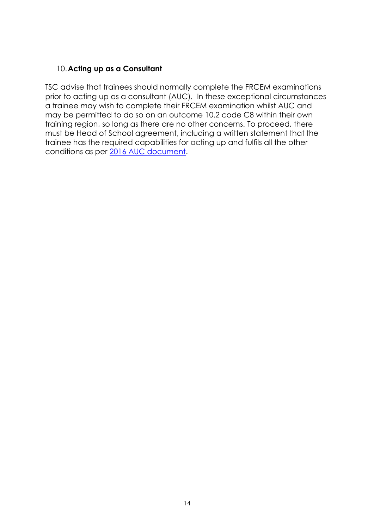#### <span id="page-14-0"></span>10.**Acting up as a Consultant**

TSC advise that trainees should normally complete the FRCEM examinations prior to acting up as a consultant (AUC). In these exceptional circumstances a trainee may wish to complete their FRCEM examination whilst AUC and may be permitted to do so on an outcome 10.2 code C8 within their own training region, so long as there are no other concerns. To proceed, there must be Head of School agreement, including a written statement that the trainee has the required capabilities for acting up and fulfils all the other conditions as per [2016 AUC document.](https://www.rcem.ac.uk/docs/Training/RCEM%20Acting%20Up%20requirements%20-%20Aug%202016.pdf)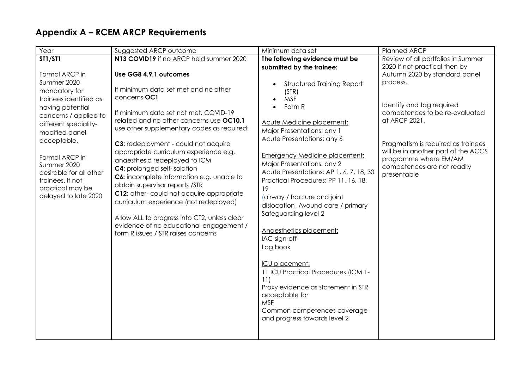# **Appendix A – RCEM ARCP Requirements**

<span id="page-15-0"></span>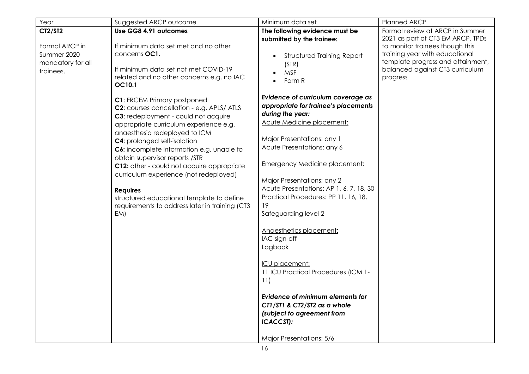| Year                                                                       | Suggested ARCP outcome                                                                                                                                                                                                                                                                                                                                                                                                                                                                                                                     | Minimum data set                                                                                                                                                                                                                                                                                                                                                                                                                                                                                                                                                                                                                                              | Planned ARCP                                                                                                                                                                                                                  |
|----------------------------------------------------------------------------|--------------------------------------------------------------------------------------------------------------------------------------------------------------------------------------------------------------------------------------------------------------------------------------------------------------------------------------------------------------------------------------------------------------------------------------------------------------------------------------------------------------------------------------------|---------------------------------------------------------------------------------------------------------------------------------------------------------------------------------------------------------------------------------------------------------------------------------------------------------------------------------------------------------------------------------------------------------------------------------------------------------------------------------------------------------------------------------------------------------------------------------------------------------------------------------------------------------------|-------------------------------------------------------------------------------------------------------------------------------------------------------------------------------------------------------------------------------|
| CT2/ST2<br>Formal ARCP in<br>Summer 2020<br>mandatory for all<br>trainees. | Use GG8 4.91 outcomes<br>If minimum data set met and no other<br>concerns OC1.<br>If minimum data set not met COVID-19<br>related and no other concerns e.g. no IAC<br>OC10.1                                                                                                                                                                                                                                                                                                                                                              | The following evidence must be<br>submitted by the trainee:<br><b>Structured Training Report</b><br>(STR)<br><b>MSF</b><br>Form R<br>$\bullet$                                                                                                                                                                                                                                                                                                                                                                                                                                                                                                                | Formal review at ARCP in Summer<br>2021 as part of CT3 EM ARCP. TPDs<br>to monitor trainees though this<br>training year with educational<br>template progress and attainment,<br>balanced against CT3 curriculum<br>progress |
|                                                                            | <b>C1: FRCEM Primary postponed</b><br>C2: courses cancellation - e.g. APLS/ ATLS<br>C3: redeployment - could not acquire<br>appropriate curriculum experience e.g.<br>anaesthesia redeployed to ICM<br><b>C4:</b> prolonged self-isolation<br>C6: incomplete information e.g. unable to<br>obtain supervisor reports /STR<br>C12: other - could not acquire appropriate<br>curriculum experience (not redeployed)<br><b>Requires</b><br>structured educational template to define<br>requirements to address later in training (CT3<br>EM) | Evidence of curriculum coverage as<br>appropriate for trainee's placements<br>during the year:<br><b>Acute Medicine placement:</b><br>Major Presentations: any 1<br>Acute Presentations: any 6<br><b>Emergency Medicine placement:</b><br>Major Presentations: any 2<br>Acute Presentations: AP 1, 6, 7, 18, 30<br>Practical Procedures: PP 11, 16, 18,<br>19<br>Safeguarding level 2<br>Anaesthetics placement:<br>IAC sign-off<br>Logbook<br>ICU placement:<br>11 ICU Practical Procedures (ICM 1-<br>11)<br>Evidence of minimum elements for<br>CT1/ST1 & CT2/ST2 as a whole<br>(subject to agreement from<br><b>ICACCST):</b><br>Major Presentations: 5/6 |                                                                                                                                                                                                                               |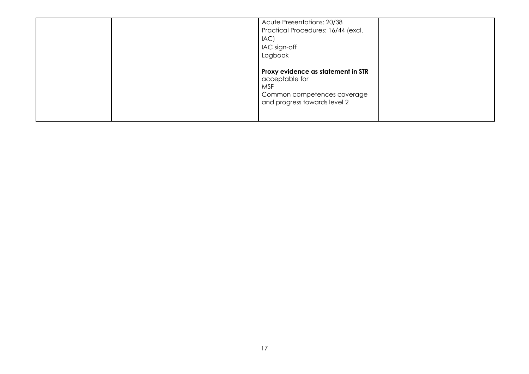|  | Acute Presentations: 20/38<br>Practical Procedures: 16/44 (excl.<br>IAC<br>IAC sign-off<br>Logbook                         |  |
|--|----------------------------------------------------------------------------------------------------------------------------|--|
|  | Proxy evidence as statement in STR<br>acceptable for<br>MSF<br>Common competences coverage<br>and progress towards level 2 |  |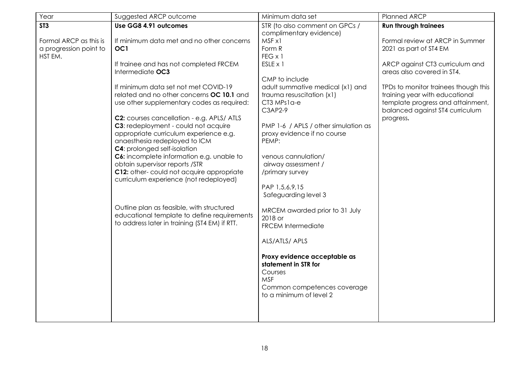| Year                                                        | Suggested ARCP outcome                                                                                                                                                                                                                                                                                                                                                                                                                                               | Minimum data set                                                                                                                                                                                                                               | Planned ARCP                                                                                                                                                       |
|-------------------------------------------------------------|----------------------------------------------------------------------------------------------------------------------------------------------------------------------------------------------------------------------------------------------------------------------------------------------------------------------------------------------------------------------------------------------------------------------------------------------------------------------|------------------------------------------------------------------------------------------------------------------------------------------------------------------------------------------------------------------------------------------------|--------------------------------------------------------------------------------------------------------------------------------------------------------------------|
| ST <sub>3</sub>                                             | Use GG8 4.91 outcomes                                                                                                                                                                                                                                                                                                                                                                                                                                                | STR (to also comment on GPCs /<br>complimentary evidence)                                                                                                                                                                                      | <b>Run through trainees</b>                                                                                                                                        |
| Formal ARCP as this is<br>a progression point to<br>HST EM. | If minimum data met and no other concerns<br>OC <sub>1</sub><br>If trainee and has not completed FRCEM<br>Intermediate OC3<br>If minimum data set not met COVID-19                                                                                                                                                                                                                                                                                                   | MSF x1<br>Form R<br>$FEG \times 1$<br>ESLE x 1<br>CMP to include<br>adult summative medical (x1) and                                                                                                                                           | Formal review at ARCP in Summer<br>2021 as part of ST4 EM<br>ARCP against CT3 curriculum and<br>areas also covered in ST4.<br>TPDs to monitor trainees though this |
|                                                             | related and no other concerns OC 10.1 and<br>use other supplementary codes as required:<br>C2: courses cancellation - e.g. APLS/ ATLS<br>C3: redeployment - could not acquire<br>appropriate curriculum experience e.g.<br>anaesthesia redeployed to ICM<br><b>C4:</b> prolonged self-isolation<br>C6: incomplete information e.g. unable to<br>obtain supervisor reports /STR<br>C12: other-could not acquire appropriate<br>curriculum experience (not redeployed) | trauma resuscitation (x1)<br>CT3 MPs1a-e<br>C3AP2-9<br>PMP 1-6 / APLS / other simulation as<br>proxy evidence if no course<br>PEMP:<br>venous cannulation/<br>airway assessment /<br>/primary survey<br>PAP 1,5,6,9,15<br>Safeguarding level 3 | training year with educational<br>template progress and attainment,<br>balanced against ST4 curriculum<br>progress.                                                |
|                                                             | Outline plan as feasible, with structured<br>educational template to define requirements<br>to address later in training (ST4 EM) if RTT.                                                                                                                                                                                                                                                                                                                            | MRCEM awarded prior to 31 July<br>2018 or<br><b>FRCEM Intermediate</b><br>ALS/ATLS/ APLS<br>Proxy evidence acceptable as<br>statement in STR for<br>Courses<br><b>MSF</b><br>Common competences coverage<br>to a minimum of level 2            |                                                                                                                                                                    |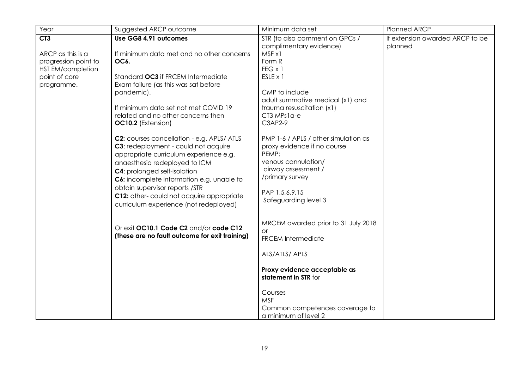| STR (to also comment on GPCs /<br>complimentary evidence)<br>MSF x1                                                                                                                                                                                                                                                                                                                                                                                                                                                | If extension awarded ARCP to be<br>planned             |
|--------------------------------------------------------------------------------------------------------------------------------------------------------------------------------------------------------------------------------------------------------------------------------------------------------------------------------------------------------------------------------------------------------------------------------------------------------------------------------------------------------------------|--------------------------------------------------------|
| Form R<br>FEG x 1<br>ESLE x 1<br>CMP to include<br>adult summative medical (x1) and<br>trauma resuscitation (x1)<br>CT3 MPs1a-e<br>C3AP2-9<br>PMP 1-6 / APLS / other simulation as<br>proxy evidence if no course<br>PEMP:<br>venous cannulation/<br>airway assessment /<br>/primary survey<br>PAP 1,5,6,9,15<br>Safeguarding level 3<br>MRCEM awarded prior to 31 July 2018<br>or<br><b>FRCEM Intermediate</b><br>ALS/ATLS/ APLS<br>Proxy evidence acceptable as<br>statement in STR for<br>Courses<br><b>MSF</b> |                                                        |
|                                                                                                                                                                                                                                                                                                                                                                                                                                                                                                                    | Common competences coverage to<br>a minimum of level 2 |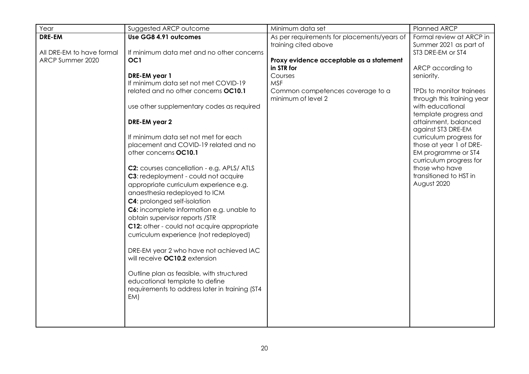| Year                      | Suggested ARCP outcome                                         | Minimum data set                                                    | Planned ARCP                                       |
|---------------------------|----------------------------------------------------------------|---------------------------------------------------------------------|----------------------------------------------------|
| DRE-EM                    | Use GG8 4.91 outcomes                                          | As per requirements for placements/years of<br>training cited above | Formal review at ARCP in<br>Summer 2021 as part of |
| All DRE-EM to have formal | If minimum data met and no other concerns                      |                                                                     | ST3 DRE-EM or ST4                                  |
| ARCP Summer 2020          | OC1                                                            | Proxy evidence acceptable as a statement                            |                                                    |
|                           |                                                                | in STR for                                                          | ARCP according to                                  |
|                           | DRE-EM year 1<br>If minimum data set not met COVID-19          | Courses<br><b>MSF</b>                                               | seniority.                                         |
|                           | related and no other concerns OC10.1                           | Common competences coverage to a                                    | TPDs to monitor trainees                           |
|                           |                                                                | minimum of level 2                                                  | through this training year                         |
|                           | use other supplementary codes as required                      |                                                                     | with educational                                   |
|                           |                                                                |                                                                     | template progress and                              |
|                           | DRE-EM year 2                                                  |                                                                     | attainment, balanced                               |
|                           |                                                                |                                                                     | against ST3 DRE-EM                                 |
|                           | If minimum data set not met for each                           |                                                                     | curriculum progress for                            |
|                           | placement and COVID-19 related and no<br>other concerns OC10.1 |                                                                     | those at year 1 of DRE-                            |
|                           |                                                                |                                                                     | EM programme or ST4<br>curriculum progress for     |
|                           | C2: courses cancellation - e.g. APLS/ATLS                      |                                                                     | those who have                                     |
|                           | C3: redeployment - could not acquire                           |                                                                     | transitioned to HST in                             |
|                           | appropriate curriculum experience e.g.                         |                                                                     | August 2020                                        |
|                           | anaesthesia redeployed to ICM                                  |                                                                     |                                                    |
|                           | <b>C4:</b> prolonged self-isolation                            |                                                                     |                                                    |
|                           | C6: incomplete information e.g. unable to                      |                                                                     |                                                    |
|                           | obtain supervisor reports /STR                                 |                                                                     |                                                    |
|                           | C12: other - could not acquire appropriate                     |                                                                     |                                                    |
|                           | curriculum experience (not redeployed)                         |                                                                     |                                                    |
|                           |                                                                |                                                                     |                                                    |
|                           | DRE-EM year 2 who have not achieved IAC                        |                                                                     |                                                    |
|                           | will receive OC10.2 extension                                  |                                                                     |                                                    |
|                           | Outline plan as feasible, with structured                      |                                                                     |                                                    |
|                           | educational template to define                                 |                                                                     |                                                    |
|                           | requirements to address later in training (ST4                 |                                                                     |                                                    |
|                           | EM)                                                            |                                                                     |                                                    |
|                           |                                                                |                                                                     |                                                    |
|                           |                                                                |                                                                     |                                                    |
|                           |                                                                |                                                                     |                                                    |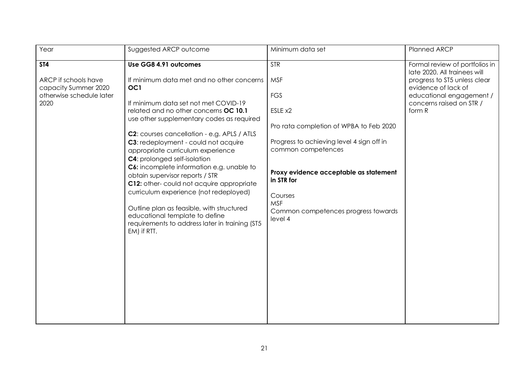| Year                                                                                           | Suggested ARCP outcome                                                                                                                                                                                                                                                                                                                                                                                                                                                                                                                                                                                                                                                                                       | Minimum data set                                                                                                                                                                                                                                                                                   | Planned ARCP                                                                                                                                                                            |
|------------------------------------------------------------------------------------------------|--------------------------------------------------------------------------------------------------------------------------------------------------------------------------------------------------------------------------------------------------------------------------------------------------------------------------------------------------------------------------------------------------------------------------------------------------------------------------------------------------------------------------------------------------------------------------------------------------------------------------------------------------------------------------------------------------------------|----------------------------------------------------------------------------------------------------------------------------------------------------------------------------------------------------------------------------------------------------------------------------------------------------|-----------------------------------------------------------------------------------------------------------------------------------------------------------------------------------------|
| <b>ST4</b><br>ARCP if schools have<br>capacity Summer 2020<br>otherwise schedule later<br>2020 | Use GG8 4.91 outcomes<br>If minimum data met and no other concerns<br>OC <sub>1</sub><br>If minimum data set not met COVID-19<br>related and no other concerns OC 10.1<br>use other supplementary codes as required<br>C2: courses cancellation - e.g. APLS / ATLS<br>C3: redeployment - could not acquire<br>appropriate curriculum experience<br><b>C4:</b> prolonged self-isolation<br>C6: incomplete information e.g. unable to<br>obtain supervisor reports / STR<br>C12: other-could not acquire appropriate<br>curriculum experience (not redeployed)<br>Outline plan as feasible, with structured<br>educational template to define<br>requirements to address later in training (ST5<br>EM) if RTT. | <b>STR</b><br><b>MSF</b><br><b>FGS</b><br>ESLE x2<br>Pro rata completion of WPBA to Feb 2020<br>Progress to achieving level 4 sign off in<br>common competences<br>Proxy evidence acceptable as statement<br>in STR for<br>Courses<br><b>MSF</b><br>Common competences progress towards<br>level 4 | Formal review of portfolios in<br>late 2020. All trainees will<br>progress to ST5 unless clear<br>evidence of lack of<br>educational engagement /<br>concerns raised on STR /<br>form R |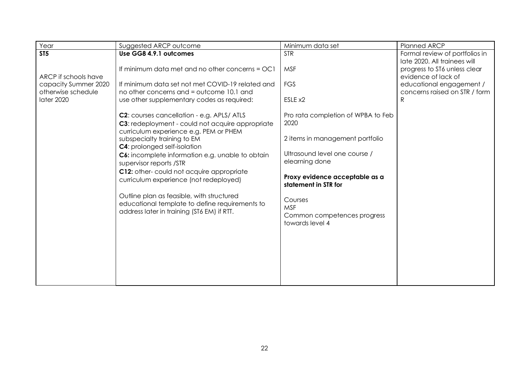| Suggested ARCP outcome                                                                                                                                                                                                                                                                                                                                                                                                                                                                                                                                                        | Minimum data set                                                                                                                                                                                                                                                      | <b>Planned ARCP</b>                                                                                                                                   |
|-------------------------------------------------------------------------------------------------------------------------------------------------------------------------------------------------------------------------------------------------------------------------------------------------------------------------------------------------------------------------------------------------------------------------------------------------------------------------------------------------------------------------------------------------------------------------------|-----------------------------------------------------------------------------------------------------------------------------------------------------------------------------------------------------------------------------------------------------------------------|-------------------------------------------------------------------------------------------------------------------------------------------------------|
| Use GG8 4.9.1 outcomes                                                                                                                                                                                                                                                                                                                                                                                                                                                                                                                                                        | <b>STR</b>                                                                                                                                                                                                                                                            | Formal review of portfolios in                                                                                                                        |
| If minimum data met and no other concerns = OC1<br>If minimum data set not met COVID-19 related and<br>no other concerns and = outcome 10.1 and                                                                                                                                                                                                                                                                                                                                                                                                                               | <b>MSF</b><br><b>FGS</b><br>ESLE x2                                                                                                                                                                                                                                   | late 2020. All trainees will<br>progress to ST6 unless clear<br>evidence of lack of<br>educational engagement /<br>concerns raised on STR / form<br>R |
| use other supplementary codes as required:<br>C2: courses cancellation - e.g. APLS/ATLS<br>C3: redeployment - could not acquire appropriate<br>curriculum experience e.g. PEM or PHEM<br>subspecialty training to EM<br><b>C4:</b> prolonged self-isolation<br>C6: incomplete information e.g. unable to obtain<br>supervisor reports /STR<br>C12: other-could not acquire appropriate<br>curriculum experience (not redeployed)<br>Outline plan as feasible, with structured<br>educational template to define requirements to<br>address later in training (ST6 EM) if RTT. | Pro rata completion of WPBA to Feb<br>2020<br>2 items in management portfolio<br>Ultrasound level one course /<br>elearning done<br>Proxy evidence acceptable as a<br>statement in STR for<br>Courses<br><b>MSF</b><br>Common competences progress<br>towards level 4 |                                                                                                                                                       |
|                                                                                                                                                                                                                                                                                                                                                                                                                                                                                                                                                                               |                                                                                                                                                                                                                                                                       |                                                                                                                                                       |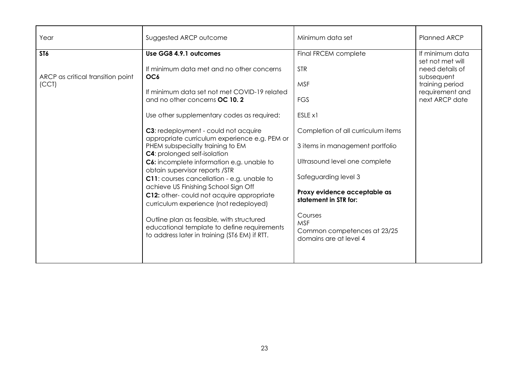| Year                                       | Suggested ARCP outcome                                                                                                                                                                                                                                                                                                                                                                                                                                                                                                                                                                                                                                                  | Minimum data set                                                                                                                                                                                                                                                      | <b>Planned ARCP</b>                                                                                       |
|--------------------------------------------|-------------------------------------------------------------------------------------------------------------------------------------------------------------------------------------------------------------------------------------------------------------------------------------------------------------------------------------------------------------------------------------------------------------------------------------------------------------------------------------------------------------------------------------------------------------------------------------------------------------------------------------------------------------------------|-----------------------------------------------------------------------------------------------------------------------------------------------------------------------------------------------------------------------------------------------------------------------|-----------------------------------------------------------------------------------------------------------|
| ST <sub>6</sub>                            | Use GG8 4.9.1 outcomes                                                                                                                                                                                                                                                                                                                                                                                                                                                                                                                                                                                                                                                  | Final FRCEM complete                                                                                                                                                                                                                                                  | If minimum data                                                                                           |
| ARCP as critical transition point<br>(CCT) | If minimum data met and no other concerns<br>OC <sub>6</sub><br>If minimum data set not met COVID-19 related<br>and no other concerns OC 10.2<br>Use other supplementary codes as required:<br>C3: redeployment - could not acquire<br>appropriate curriculum experience e.g. PEM or<br>PHEM subspecialty training to EM<br><b>C4:</b> prolonged self-isolation<br>C6: incomplete information e.g. unable to<br>obtain supervisor reports /STR<br>C11: courses cancellation - e.g. unable to<br>achieve US Finishing School Sign Off<br>C12: other-could not acquire appropriate<br>curriculum experience (not redeployed)<br>Outline plan as feasible, with structured | <b>STR</b><br><b>MSF</b><br><b>FGS</b><br>ESLE x1<br>Completion of all curriculum items<br>3 items in management portfolio<br>Ultrasound level one complete<br>Safeguarding level 3<br>Proxy evidence acceptable as<br>statement in STR for:<br>Courses<br><b>MSF</b> | set not met will<br>need details of<br>subsequent<br>training period<br>requirement and<br>next ARCP date |
|                                            | educational template to define requirements<br>to address later in training (ST6 EM) if RTT.                                                                                                                                                                                                                                                                                                                                                                                                                                                                                                                                                                            | Common competences at 23/25<br>domains are at level 4                                                                                                                                                                                                                 |                                                                                                           |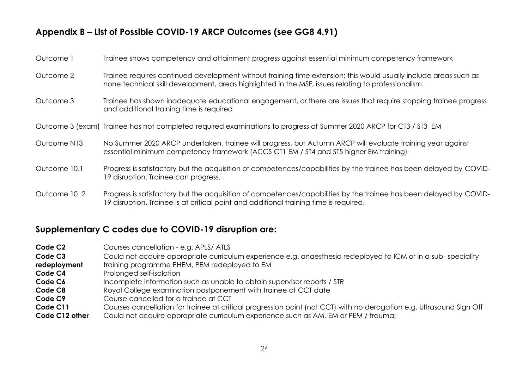## **Appendix B – List of Possible COVID-19 ARCP Outcomes (see GG8 4.91)**

| Outcome 1    | Trainee shows competency and attainment progress against essential minimum competency framework                                                                                                                         |
|--------------|-------------------------------------------------------------------------------------------------------------------------------------------------------------------------------------------------------------------------|
| Outcome 2    | Trainee requires continued development without training time extension; this would usually include areas such as<br>none technical skill development, areas highlighted in the MSF, issues relating to professionalism. |
| Outcome 3    | Trainee has shown inadequate educational engagement, or there are issues that require stopping trainee progress<br>and additional training time is required                                                             |
|              | Outcome 3 (exam) Trainee has not completed required examinations to progress at Summer 2020 ARCP for CT3 / ST3 EM                                                                                                       |
| Outcome N13  | No Summer 2020 ARCP undertaken, trainee will progress, but Autumn ARCP will evaluate training year against<br>essential minimum competency framework (ACCS CT1 EM / ST4 and ST5 higher EM training)                     |
| Outcome 10.1 | Progress is satisfactory but the acquisition of competences/capabilities by the trainee has been delayed by COVID-<br>19 disruption. Trainee can progress.                                                              |
| Outcome 10.2 | Progress is satisfactory but the acquisition of competences/capabilities by the trainee has been delayed by COVID-<br>19 disruption. Trainee is at critical point and additional training time is required.             |

## <span id="page-24-0"></span>**Supplementary C codes due to COVID-19 disruption are:**

| Code C <sub>2</sub> | Courses cancellation - e.g. APLS/ ATLS                                                                               |
|---------------------|----------------------------------------------------------------------------------------------------------------------|
| Code C <sub>3</sub> | Could not acquire appropriate curriculum experience e.g. anaesthesia redeployed to ICM or in a sub-speciality        |
| redeployment        | training programme PHEM, PEM redeployed to EM                                                                        |
| Code C4             | Prolonged self-isolation                                                                                             |
| Code C <sub>6</sub> | Incomplete information such as unable to obtain supervisor reports / STR                                             |
| Code C8             | Royal College examination postponement with trainee at CCT date                                                      |
| Code C9             | Course cancelled for a trainee at CCT                                                                                |
| Code C11            | Courses cancellation for trainee at critical progression point (not CCT) with no derogation e.g. Ultrasound Sign Off |
| Code C12 other      | Could not acquire appropriate curriculum experience such as AM, EM or PEM / trauma;                                  |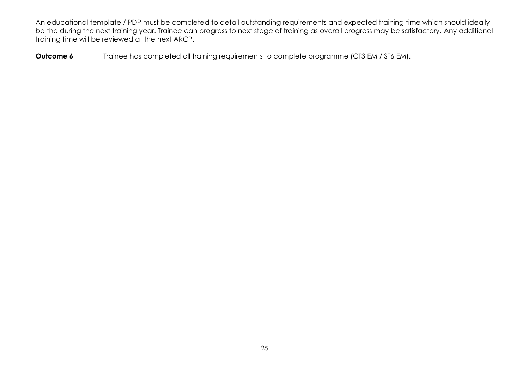An educational template / PDP must be completed to detail outstanding requirements and expected training time which should ideally be the during the next training year. Trainee can progress to next stage of training as overall progress may be satisfactory. Any additional training time will be reviewed at the next ARCP.

**Outcome 6** Trainee has completed all training requirements to complete programme (CT3 EM / ST6 EM).